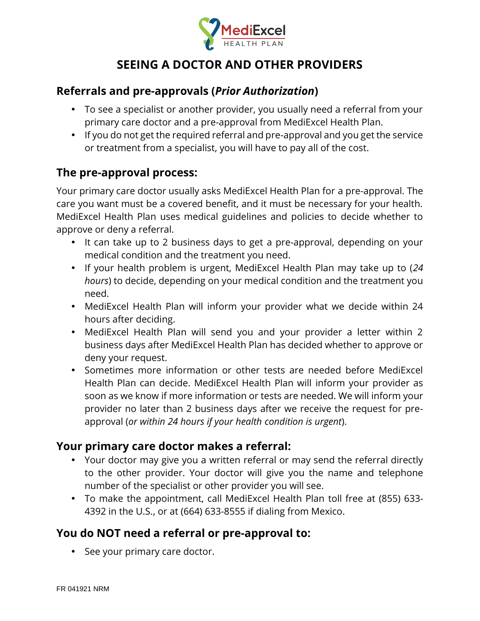

# **SEEING A DOCTOR AND OTHER PROVIDERS**

### **Referrals and pre-approvals (***Prior Authorization***)**

- To see a specialist or another provider, you usually need a referral from your primary care doctor and a pre-approval from MediExcel Health Plan.
- I If you do not get the required referral and pre-approval and you get the service or treatment from a specialist, you will have to pay all of the cost.

### **The pre-approval process:**

Your primary care doctor usually asks MediExcel Health Plan for a pre-approval. The care you want must be a covered benefit, and it must be necessary for your health. MediExcel Health Plan uses medical guidelines and policies to decide whether to approve or deny a referral.

- It can take up to 2 business days to get a pre-approval, depending on your medical condition and the treatment you need.
- If your health problem is urgent, MediExcel Health Plan may take up to (*24 hours*) to decide, depending on your medical condition and the treatment you need.
- MediExcel Health Plan will inform your provider what we decide within 24 hours after deciding.
- MediExcel Health Plan will send you and your provider a letter within 2 business days after MediExcel Health Plan has decided whether to approve or deny your request.
- Sometimes more information or other tests are needed before MediExcel Health Plan can decide. MediExcel Health Plan will inform your provider as soon as we know if more information or tests are needed. We will inform your provider no later than 2 business days after we receive the request for pre approval (*or within 24 hours if your health condition is urgent*).

### **Your primary care doctor makes a referral:**

- Your doctor may give you a written referral or may send the referral directly to the other provider. Your doctor will give you the name and telephone number of the specialist or other provider you will see.
- To make the appointment, call MediExcel Health Plan toll free at (855) 633- 4392 in the U.S., or at (664) 633-8555 if dialing from Mexico.

## **You do NOT need a referral or pre-approval to:**

) See your primary care doctor.